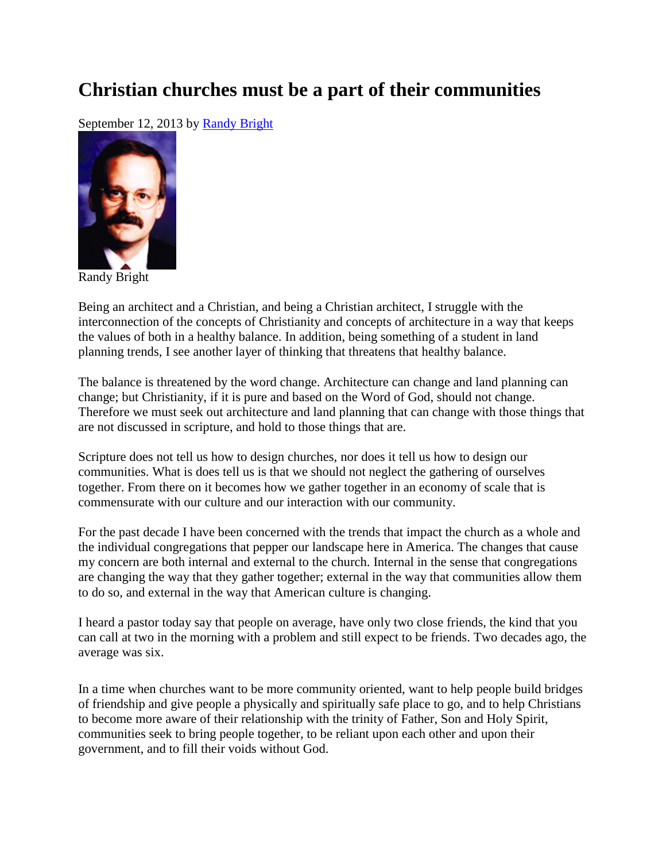## **Christian churches must be a part of their communities**

September 12, 2013 by [Randy Bright](http://tulsabeacon.com/writers/randy-bright/)



Randy Bright

Being an architect and a Christian, and being a Christian architect, I struggle with the interconnection of the concepts of Christianity and concepts of architecture in a way that keeps the values of both in a healthy balance. In addition, being something of a student in land planning trends, I see another layer of thinking that threatens that healthy balance.

The balance is threatened by the word change. Architecture can change and land planning can change; but Christianity, if it is pure and based on the Word of God, should not change. Therefore we must seek out architecture and land planning that can change with those things that are not discussed in scripture, and hold to those things that are.

Scripture does not tell us how to design churches, nor does it tell us how to design our communities. What is does tell us is that we should not neglect the gathering of ourselves together. From there on it becomes how we gather together in an economy of scale that is commensurate with our culture and our interaction with our community.

For the past decade I have been concerned with the trends that impact the church as a whole and the individual congregations that pepper our landscape here in America. The changes that cause my concern are both internal and external to the church. Internal in the sense that congregations are changing the way that they gather together; external in the way that communities allow them to do so, and external in the way that American culture is changing.

I heard a pastor today say that people on average, have only two close friends, the kind that you can call at two in the morning with a problem and still expect to be friends. Two decades ago, the average was six.

In a time when churches want to be more community oriented, want to help people build bridges of friendship and give people a physically and spiritually safe place to go, and to help Christians to become more aware of their relationship with the trinity of Father, Son and Holy Spirit, communities seek to bring people together, to be reliant upon each other and upon their government, and to fill their voids without God.